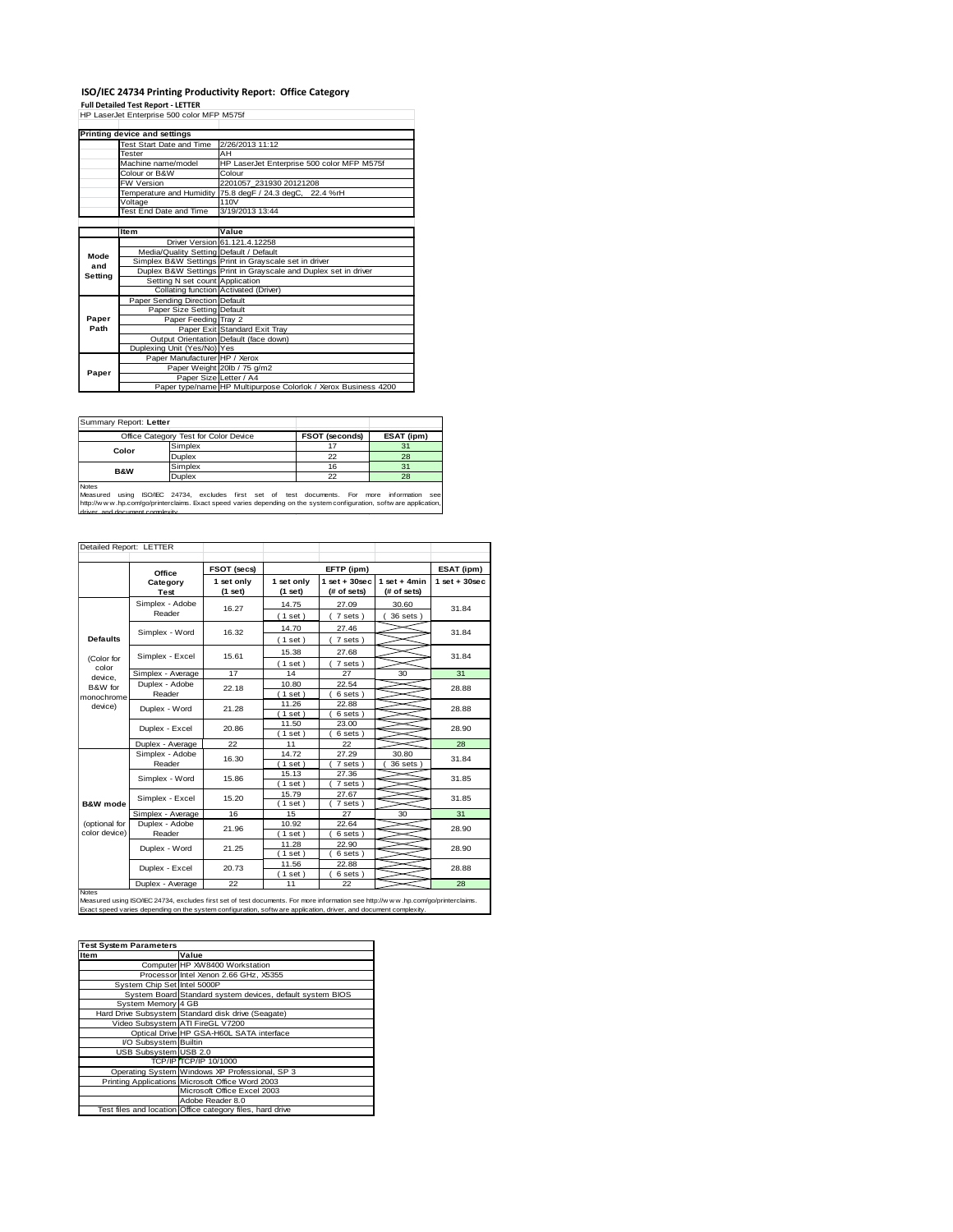### **ISO/IEC 24734 Printing Productivity Report: Office Category Full Detailed Test Report - LETTER** HP LaserJet Enterprise 500 color MFP M575f

|         | Printing device and settings            |                                                                 |
|---------|-----------------------------------------|-----------------------------------------------------------------|
|         | Test Start Date and Time                | 2/26/2013 11:12                                                 |
|         | <b>Tester</b>                           | AH                                                              |
|         | Machine name/model                      | HP LaserJet Enterprise 500 color MFP M575f                      |
|         | Colour or B&W                           | Colour                                                          |
|         | FW Version                              | 2201057 231930 20121208                                         |
|         | Temperature and Humidity                | 75.8 degF / 24.3 degC, 22.4 %rH                                 |
|         | Voltage                                 | 110V                                                            |
|         | <b>Test End Date and Time</b>           | 3/19/2013 13:44                                                 |
|         |                                         |                                                                 |
|         | Item                                    | Value                                                           |
|         |                                         | Driver Version 61.121.4.12258                                   |
| Mode    | Media/Quality Setting Default / Default |                                                                 |
| and     |                                         | Simplex B&W Settings Print in Grayscale set in driver           |
| Setting |                                         | Duplex B&W Settings Print in Grayscale and Duplex set in driver |
|         | Setting N set count Application         |                                                                 |
|         | Collating function Activated (Driver)   |                                                                 |
|         | Paper Sending Direction Default         |                                                                 |
|         | Paper Size Setting Default              |                                                                 |
| Paper   | Paper Feeding Tray 2                    |                                                                 |
| Path    |                                         | Paper Exit Standard Exit Tray                                   |
|         |                                         | Output Orientation Default (face down)                          |
|         | Duplexing Unit (Yes/No) Yes             |                                                                 |
|         | Paper Manufacturer HP / Xerox           |                                                                 |
| Paper   |                                         | Paper Weight 20lb / 75 g/m2                                     |
|         | Paper Size Letter / A4                  |                                                                 |
|         |                                         | Paper type/name HP Multipurpose Colorlok / Xerox Business 4200  |

|                          | Summary Report: Letter                |  |         |                                      |  |  |                |      |                |    |      |             |     |
|--------------------------|---------------------------------------|--|---------|--------------------------------------|--|--|----------------|------|----------------|----|------|-------------|-----|
|                          | Office Category Test for Color Device |  |         |                                      |  |  | FSOT (seconds) |      | ESAT (ipm)     |    |      |             |     |
| Color                    |                                       |  | Simplex |                                      |  |  |                |      |                |    | 31   |             |     |
|                          |                                       |  | Duplex  |                                      |  |  | 22             |      | 28             |    |      |             |     |
| <b>B&amp;W</b>           |                                       |  | Simplex |                                      |  |  | 16             |      |                | 31 |      |             |     |
|                          |                                       |  | Duplex  |                                      |  |  | 22             |      | 28             |    |      |             |     |
| <b>Notes</b><br>Measured | using                                 |  |         | ISO/IEC 24734, excludes first set of |  |  |                | test | documents. For |    | more | information | see |

http://www.multims.multims.com/go/printerclaims.com/go/printerclaims.com/go/printerclaims.com/go/printerclaims.com/go/printerclaims.com/go/printerclaims.com/go/printerclaims.com/go/printerclaims.com/go/printerclaims.com/go

| Detailed Report: LETTER          |                                                                                                                                                                                                                                                      |                         |                         |                                   |                               |                 |
|----------------------------------|------------------------------------------------------------------------------------------------------------------------------------------------------------------------------------------------------------------------------------------------------|-------------------------|-------------------------|-----------------------------------|-------------------------------|-----------------|
|                                  | Office                                                                                                                                                                                                                                               | FSOT (secs)             |                         | EFTP (ipm)                        |                               | ESAT (ipm)      |
|                                  | Category<br>Test                                                                                                                                                                                                                                     | 1 set only<br>$(1$ set) | 1 set only<br>$(1$ set) | $1$ set + $30$ sec<br>(# of sets) | $1$ set + 4min<br>(# of sets) | $1$ set + 30sec |
|                                  | Simplex - Adobe<br>Reader                                                                                                                                                                                                                            | 16.27                   | 14.75<br>(1 set)        | 27.09<br>7 sets)                  | 30.60<br>36 sets )            | 31.84           |
| <b>Defaults</b>                  | Simplex - Word                                                                                                                                                                                                                                       | 16.32                   | 14.70<br>(1 set)        | 27.46<br>(7 sets)                 |                               | 31.84           |
| (Color for                       | Simplex - Excel                                                                                                                                                                                                                                      | 15.61                   | 15.38<br>(1 set)        | 27.68<br>7 sets)                  |                               | 31.84           |
| color                            | Simplex - Average                                                                                                                                                                                                                                    | 17                      | 14                      | 27                                | 30                            | 31              |
| device.<br>B&W for<br>monochrome | Duplex - Adobe<br>Reader                                                                                                                                                                                                                             | 22.18                   | 10.80<br>(1 set)        | 22.54<br>6 sets)                  |                               | 28.88           |
| device)                          | Duplex - Word                                                                                                                                                                                                                                        | 21.28                   | 11.26<br>1 set )        | 22.88<br>6 sets)                  |                               | 28.88           |
|                                  | Duplex - Excel                                                                                                                                                                                                                                       | 20.86                   | 11.50<br>$1$ set $)$    | 23.00<br>6 sets )                 |                               | 28.90           |
|                                  | Duplex - Average                                                                                                                                                                                                                                     | 22                      | 11                      | 22                                |                               | 28              |
|                                  | Simplex - Adobe<br>Reader                                                                                                                                                                                                                            | 16.30                   | 14.72<br>$1$ set)       | 27.29<br>7 sets )                 | 30.80<br>36 sets              | 31.84           |
|                                  | Simplex - Word                                                                                                                                                                                                                                       | 15.86                   | 15.13<br>$1$ set        | 27.36<br>7 sets)                  |                               | 31.85           |
| B&W mode                         | Simplex - Excel                                                                                                                                                                                                                                      | 15.20                   | 15.79<br>$1$ set)       | 27.67<br>7 sets)                  |                               | 31.85           |
|                                  | Simplex - Average                                                                                                                                                                                                                                    | 16                      | 15                      | 27                                | 30                            | 31              |
| (optional for<br>color device)   | Duplex - Adobe<br>Reader                                                                                                                                                                                                                             | 21.96                   | 10.92<br>$1$ set)       | 22.64<br>6 sets)                  |                               | 28.90           |
|                                  | Duplex - Word                                                                                                                                                                                                                                        | 21.25                   | 11.28<br>$1$ set)       | 22.90<br>6 sets)                  |                               | 28.90           |
|                                  | Duplex - Excel                                                                                                                                                                                                                                       | 20.73                   | 11.56<br>$1$ set)       | 22.88<br>6 sets )                 |                               | 28.88           |
|                                  | Duplex - Average                                                                                                                                                                                                                                     | 22                      | 11                      | 22                                |                               | 28              |
| <b>Notes</b>                     | Measured using ISO/IEC 24734, excludes first set of test documents. For more information see http://www.hp.com/go/printerclaims.<br>Exact speed varies depending on the system configuration, software application, driver, and document complexity. |                         |                         |                                   |                               |                 |

| <b>Test System Parameters</b> |                                                           |
|-------------------------------|-----------------------------------------------------------|
| <b>Item</b>                   | Value                                                     |
|                               | Computer HP XW8400 Workstation                            |
|                               | Processor Intel Xenon 2.66 GHz, X5355                     |
| System Chip Set Intel 5000P   |                                                           |
|                               | System Board Standard system devices, default system BIOS |
| System Memory 4 GB            |                                                           |
|                               | Hard Drive Subsystem Standard disk drive (Seagate)        |
|                               | Video Subsystem ATI FireGL V7200                          |
|                               | Optical Drive HP GSA-H60L SATA interface                  |
| I/O Subsystem Builtin         |                                                           |
| USB Subsystem USB 2.0         |                                                           |
|                               | <b>TCP/IP TCP/IP 10/1000</b>                              |
|                               | Operating System Windows XP Professional, SP 3            |
|                               | Printing Applications Microsoft Office Word 2003          |
|                               | Microsoft Office Excel 2003                               |
|                               | Adobe Reader 8.0                                          |
|                               | Test files and location Office category files, hard drive |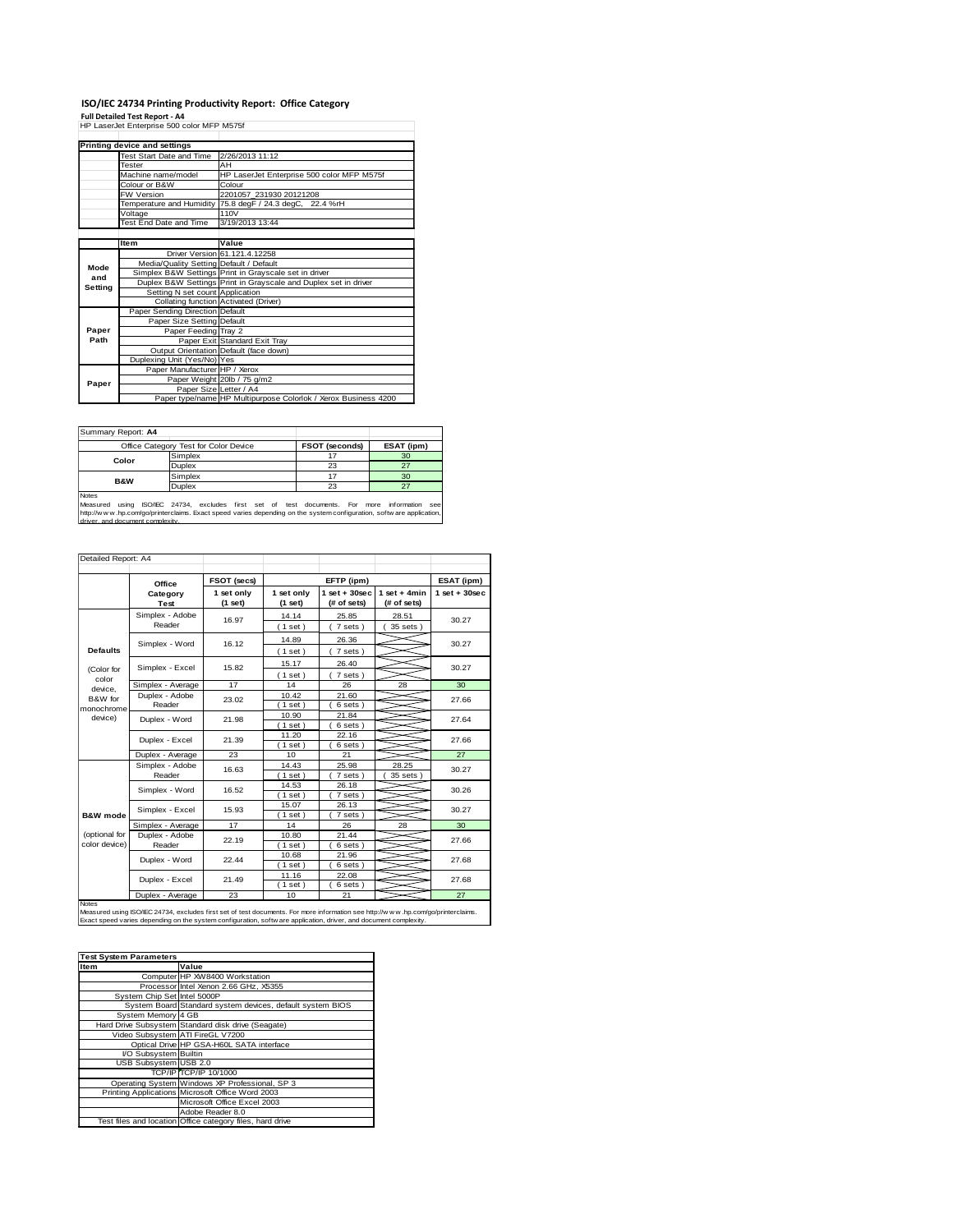# **ISO/IEC 24734 Printing Productivity Report: Office Category Full Detailed Test Report - A4** HP LaserJet Enterprise 500 color MFP M575f

|         | Printing device and settings            |                                                                 |
|---------|-----------------------------------------|-----------------------------------------------------------------|
|         | Test Start Date and Time                | 2/26/2013 11:12                                                 |
|         | Tester                                  | AH                                                              |
|         | Machine name/model                      | HP LaserJet Enterprise 500 color MFP M575f                      |
|         | Colour or B&W                           | Colour                                                          |
|         | <b>FW Version</b>                       | 2201057 231930 20121208                                         |
|         |                                         | Temperature and Humidity 75.8 degF / 24.3 degC, 22.4 %rH        |
|         | Voltage                                 | 110V                                                            |
|         | Test End Date and Time                  | 3/19/2013 13:44                                                 |
|         |                                         |                                                                 |
|         | <b>Item</b>                             | Value                                                           |
|         |                                         | Driver Version 61.121.4.12258                                   |
| Mode    | Media/Quality Setting Default / Default |                                                                 |
| and     |                                         | Simplex B&W Settings Print in Grayscale set in driver           |
| Setting |                                         | Duplex B&W Settings Print in Grayscale and Duplex set in driver |
|         | Setting N set count Application         |                                                                 |
|         |                                         | Collating function Activated (Driver)                           |
|         | Paper Sending Direction Default         |                                                                 |
|         | Paper Size Setting Default              |                                                                 |
| Paper   | Paper Feeding Tray 2                    |                                                                 |
| Path    |                                         | Paper Exit Standard Exit Tray                                   |
|         |                                         | Output Orientation Default (face down)                          |
|         | Duplexing Unit (Yes/No) Yes             |                                                                 |
|         | Paper Manufacturer HP / Xerox           |                                                                 |
| Paper   |                                         | Paper Weight 20lb / 75 g/m2                                     |
|         | Paper Size Letter / A4                  |                                                                 |
|         |                                         | Paper type/name HP Multipurpose Colorlok / Xerox Business 4200  |

| Summary Report: A4                                                                                                                                     |                                       |                       |            |  |
|--------------------------------------------------------------------------------------------------------------------------------------------------------|---------------------------------------|-----------------------|------------|--|
|                                                                                                                                                        | Office Category Test for Color Device | <b>FSOT (seconds)</b> | ESAT (ipm) |  |
| Color                                                                                                                                                  | Simplex                               |                       | 30         |  |
|                                                                                                                                                        | <b>Duplex</b>                         | 23                    | 27         |  |
| <b>B&amp;W</b>                                                                                                                                         | Simplex                               | 17                    | 30         |  |
|                                                                                                                                                        | <b>Duplex</b>                         | 23                    | 27         |  |
| <b>Notes</b>                                                                                                                                           |                                       |                       |            |  |
| using ISO/IEC 24734, excludes first set of test documents. For more<br>Measured<br>information                                                         |                                       |                       |            |  |
| http://www.hp.com/go/printerclaims. Exact speed varies depending on the system configuration, software application,<br>driver, and document complexity |                                       |                       |            |  |

| Detailed Report: A4   |                                                                                                                                                                                                                                                       |                         |                         |                                  |                               |                   |  |
|-----------------------|-------------------------------------------------------------------------------------------------------------------------------------------------------------------------------------------------------------------------------------------------------|-------------------------|-------------------------|----------------------------------|-------------------------------|-------------------|--|
|                       | Office                                                                                                                                                                                                                                                | FSOT (secs)             |                         | EFTP (ipm)                       |                               | ESAT (ipm)        |  |
|                       | Category<br>Test                                                                                                                                                                                                                                      | 1 set only<br>(1 set)   | 1 set only<br>$(1$ set) | $1$ set $+30$ sec<br>(# of sets) | $1$ set + 4min<br>(# of sets) | $1$ set $+30$ sec |  |
|                       | Simplex - Adobe                                                                                                                                                                                                                                       | 16.97                   | 14.14                   | 25.85                            | 28.51                         | 30.27             |  |
|                       | Reader                                                                                                                                                                                                                                                |                         | (1 set)                 | 7 sets)                          | 35 sets )                     |                   |  |
|                       | Simplex - Word                                                                                                                                                                                                                                        | 16.12                   | 14.89                   | 26.36                            |                               |                   |  |
| <b>Defaults</b>       |                                                                                                                                                                                                                                                       |                         | (1 set)                 | 7 sets)                          |                               | 30.27             |  |
|                       |                                                                                                                                                                                                                                                       |                         | 15.17                   | 26.40                            |                               |                   |  |
| (Color for            | Simplex - Excel                                                                                                                                                                                                                                       | 15.82                   | (1 set)                 | 7 sets)                          |                               | 30.27             |  |
| color<br>device.      | Simplex - Average                                                                                                                                                                                                                                     | 17                      | 14                      | 26                               | 28                            | 30                |  |
| B&W for               | Duplex - Adobe                                                                                                                                                                                                                                        | 23.02                   | 10.42                   | 21.60                            |                               |                   |  |
| monochrome<br>device) | Reader                                                                                                                                                                                                                                                |                         | $1$ set)                | 6 sets)                          |                               | 27.66             |  |
|                       | Duplex - Word                                                                                                                                                                                                                                         | 21.98                   | 10.90                   | 21.84                            |                               | 27.64             |  |
|                       |                                                                                                                                                                                                                                                       |                         | $1$ set)                | 6 sets)                          |                               |                   |  |
|                       | Duplex - Excel                                                                                                                                                                                                                                        | 21.39                   | 11.20                   | 22.16                            |                               | 27.66             |  |
|                       |                                                                                                                                                                                                                                                       |                         | $1$ set)                | 6 sets)                          |                               |                   |  |
|                       | Duplex - Average                                                                                                                                                                                                                                      | 23                      | 10                      | 21                               |                               | 27                |  |
|                       | Simplex - Adobe                                                                                                                                                                                                                                       | 16.63<br>16.52<br>15.93 | 14.43                   | 25.98                            | 28.25                         | 30.27             |  |
|                       | Reader                                                                                                                                                                                                                                                |                         | (1 set)                 | 7 sets)                          | 35 sets                       |                   |  |
|                       | Simplex - Word                                                                                                                                                                                                                                        |                         | 14.53                   | 26.18                            |                               | 30.26             |  |
|                       |                                                                                                                                                                                                                                                       |                         | (1 set)<br>15.07        | 7 sets)                          |                               |                   |  |
| <b>B&amp;W</b> mode   | Simplex - Excel                                                                                                                                                                                                                                       |                         | $1$ set)                | 26.13<br>7 sets)                 |                               | 30.27             |  |
|                       | Simplex - Average                                                                                                                                                                                                                                     | 17                      | 14                      | 26                               | 28                            | 30                |  |
| (optional for         | Duplex - Adobe                                                                                                                                                                                                                                        |                         | 10.80                   | 21.44                            |                               | 27.66             |  |
| color device)         | Reader                                                                                                                                                                                                                                                | 22.19                   | $1$ set)                | 6 sets)                          |                               |                   |  |
|                       |                                                                                                                                                                                                                                                       |                         | 10.68                   | 21.96                            |                               |                   |  |
|                       | Duplex - Word                                                                                                                                                                                                                                         | 22.44                   | (1 set)                 | 6 sets)                          |                               | 27.68             |  |
|                       |                                                                                                                                                                                                                                                       |                         | 11.16                   | 22.08                            |                               |                   |  |
|                       | Duplex - Excel                                                                                                                                                                                                                                        | 21.49                   | $1$ set)                | 6 sets)                          |                               | 27.68             |  |
|                       | Duplex - Average                                                                                                                                                                                                                                      | 23                      | 10                      | 21                               |                               | 27                |  |
| Notes                 | Measured using ISO/IEC 24734, excludes first set of test documents. For more information see http://www.hp.com/go/printerclaims.<br>Exact speed varies depending on the system configuration, softw are application, driver, and document complexity. |                         |                         |                                  |                               |                   |  |

| <b>Test System Parameters</b> |                                                           |
|-------------------------------|-----------------------------------------------------------|
| <b>Item</b>                   | Value                                                     |
|                               | Computer HP XW8400 Workstation                            |
|                               | Processor Intel Xenon 2.66 GHz, X5355                     |
| System Chip Set Intel 5000P   |                                                           |
|                               | System Board Standard system devices, default system BIOS |
| System Memory 4 GB            |                                                           |
|                               | Hard Drive Subsystem Standard disk drive (Seagate)        |
|                               | Video Subsystem ATI FireGL V7200                          |
|                               | Optical Drive HP GSA-H60L SATA interface                  |
| I/O Subsystem Builtin         |                                                           |
| USB Subsystem USB 2.0         |                                                           |
|                               | TCP/IP TCP/IP 10/1000                                     |
|                               | Operating System Windows XP Professional, SP 3            |
|                               | Printing Applications Microsoft Office Word 2003          |
|                               | Microsoft Office Excel 2003                               |
|                               | Adobe Reader 8.0                                          |
|                               | Test files and location Office category files, hard drive |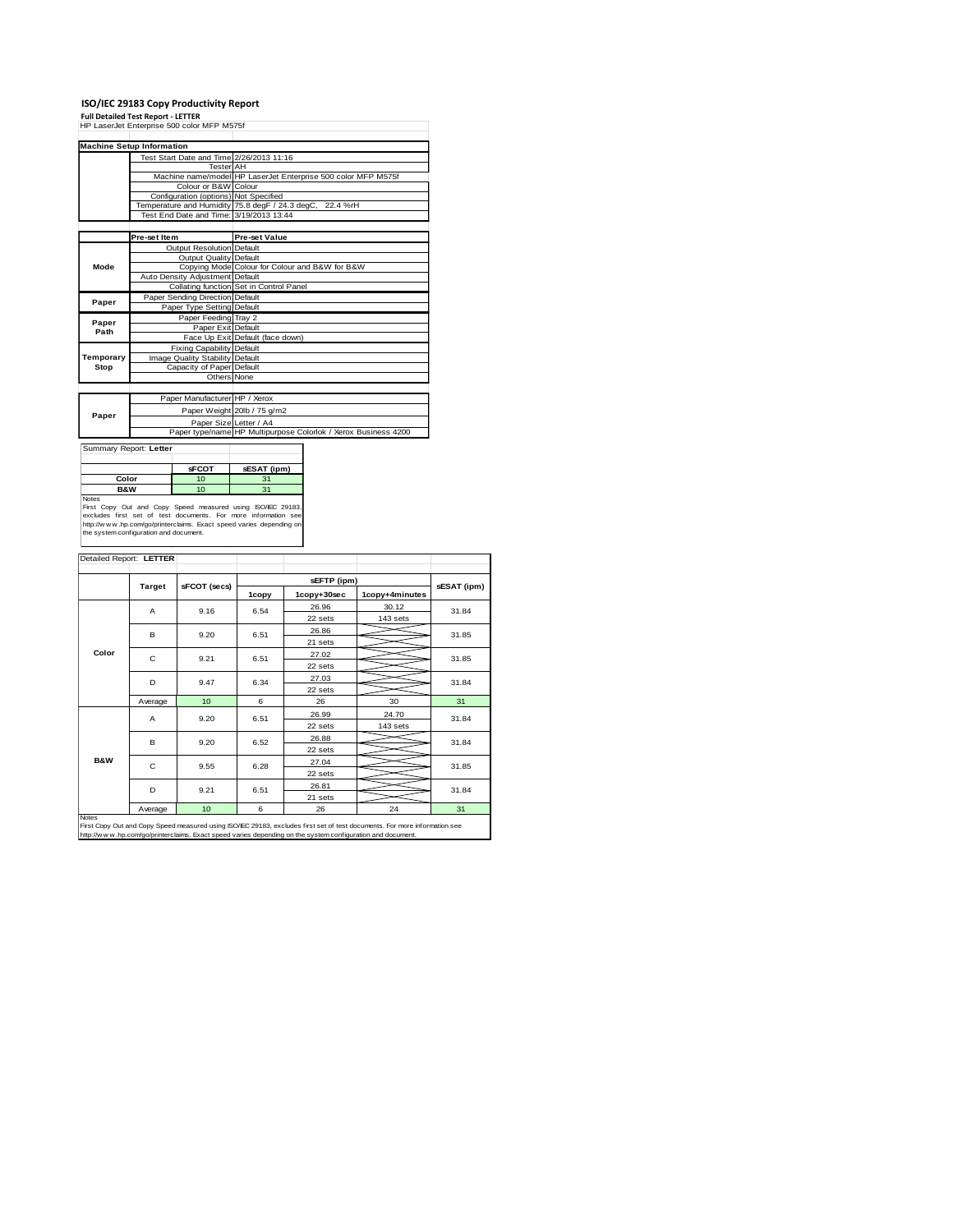**ISO/IEC 29183 Copy Productivity Report Full Detailed Test Report - LETTER** HP LaserJet Enterprise 500 color MFP M575f

|               | <b>Machine Setup Information</b>         |                                                                |
|---------------|------------------------------------------|----------------------------------------------------------------|
|               | Test Start Date and Time 2/26/2013 11:16 |                                                                |
|               | <b>Tester AH</b>                         |                                                                |
|               |                                          | Machine name/model HP LaserJet Enterprise 500 color MFP M575f  |
|               | Colour or B&W Colour                     |                                                                |
|               | Configuration (options) Not Specified    |                                                                |
|               |                                          | Temperature and Humidity 75.8 degF / 24.3 degC, 22.4 %rH       |
|               | Test End Date and Time: 3/19/2013 13:44  |                                                                |
|               |                                          |                                                                |
|               | Pre-set Item                             | <b>Pre-set Value</b>                                           |
|               | Output Resolution Default                |                                                                |
|               | Output Quality Default                   |                                                                |
| Mode          |                                          | Copying Mode Colour for Colour and B&W for B&W                 |
|               | Auto Density Adjustment Default          |                                                                |
|               |                                          | Collating function Set in Control Panel                        |
| Paper         | Paper Sending Direction Default          |                                                                |
|               | Paper Type Setting Default               |                                                                |
|               | Paper Feeding Tray 2                     |                                                                |
| Paper<br>Path | Paper Exit Default                       |                                                                |
|               |                                          | Face Up Exit Default (face down)                               |
|               | <b>Fixing Capability Default</b>         |                                                                |
| Temporary     | Image Quality Stability Default          |                                                                |
| Stop          | Capacity of Paper Default                |                                                                |
|               | Others None                              |                                                                |
|               |                                          |                                                                |
|               | Paper Manufacturer HP / Xerox            |                                                                |
| Paper         |                                          | Paper Weight 20lb / 75 g/m2                                    |
|               | Paper Size Letter / A4                   |                                                                |
|               |                                          | Paper type/name HP Multipurpose Colorlok / Xerox Business 4200 |

| Summary Report: Letter                                                                                                        |              |             |
|-------------------------------------------------------------------------------------------------------------------------------|--------------|-------------|
|                                                                                                                               |              |             |
|                                                                                                                               | <b>sFCOT</b> | sESAT (ipm) |
| Color                                                                                                                         | 10           | 31          |
| <b>B&amp;W</b>                                                                                                                | 10           | 31          |
| Notes                                                                                                                         |              |             |
| First Copy Out and Copy Speed measured using ISO/IEC 29183,<br>excludes first set of test documents. For more information see |              |             |

First Copy Out and Copy Speed measured using ISO/IEC 29183,<br>excludes first set of test documents. For more information see<br>http://w w w.hp.com/go/printerclaims. Exact speed varies depending on<br>the system.configuration and

| <b>Target</b>  |         | sFCOT (secs) |       | sEFTP (ipm) |                |             |  |
|----------------|---------|--------------|-------|-------------|----------------|-------------|--|
|                |         |              | 1copy | 1copy+30sec | 1copy+4minutes | sESAT (ipm) |  |
|                | A       | 9.16         | 6.54  | 26.96       | 30.12          | 31.84       |  |
| Color          |         |              |       | 22 sets     | 143 sets       |             |  |
|                | в       | 9.20         | 6.51  | 26.86       |                | 31.85       |  |
|                |         |              |       | 21 sets     |                |             |  |
|                | C       | 9.21         | 6.51  | 27.02       |                | 31.85       |  |
|                |         |              |       | 22 sets     |                |             |  |
|                | D       | 9.47         | 6.34  | 27.03       |                | 31.84       |  |
|                |         |              |       | 22 sets     |                |             |  |
|                | Average | 10           | 6     | 26          | 30             | 31          |  |
|                | A       | 9.20         | 6.51  | 26.99       | 24.70          | 31.84       |  |
|                |         |              |       | 22 sets     | 143 sets       |             |  |
|                | B       | 9.20         | 6.52  | 26.88       |                | 31.84       |  |
|                |         |              |       | 22 sets     |                |             |  |
| <b>B&amp;W</b> | C       | 9.55         | 6.28  | 27.04       |                | 31.85       |  |
|                |         |              |       | 22 sets     |                |             |  |
|                | D       | 9.21         | 6.51  | 26.81       |                | 31.84       |  |
|                |         |              |       | 21 sets     |                |             |  |
| <b>Notes</b>   | Average | 10           | 6     | 26          | 24             | 31          |  |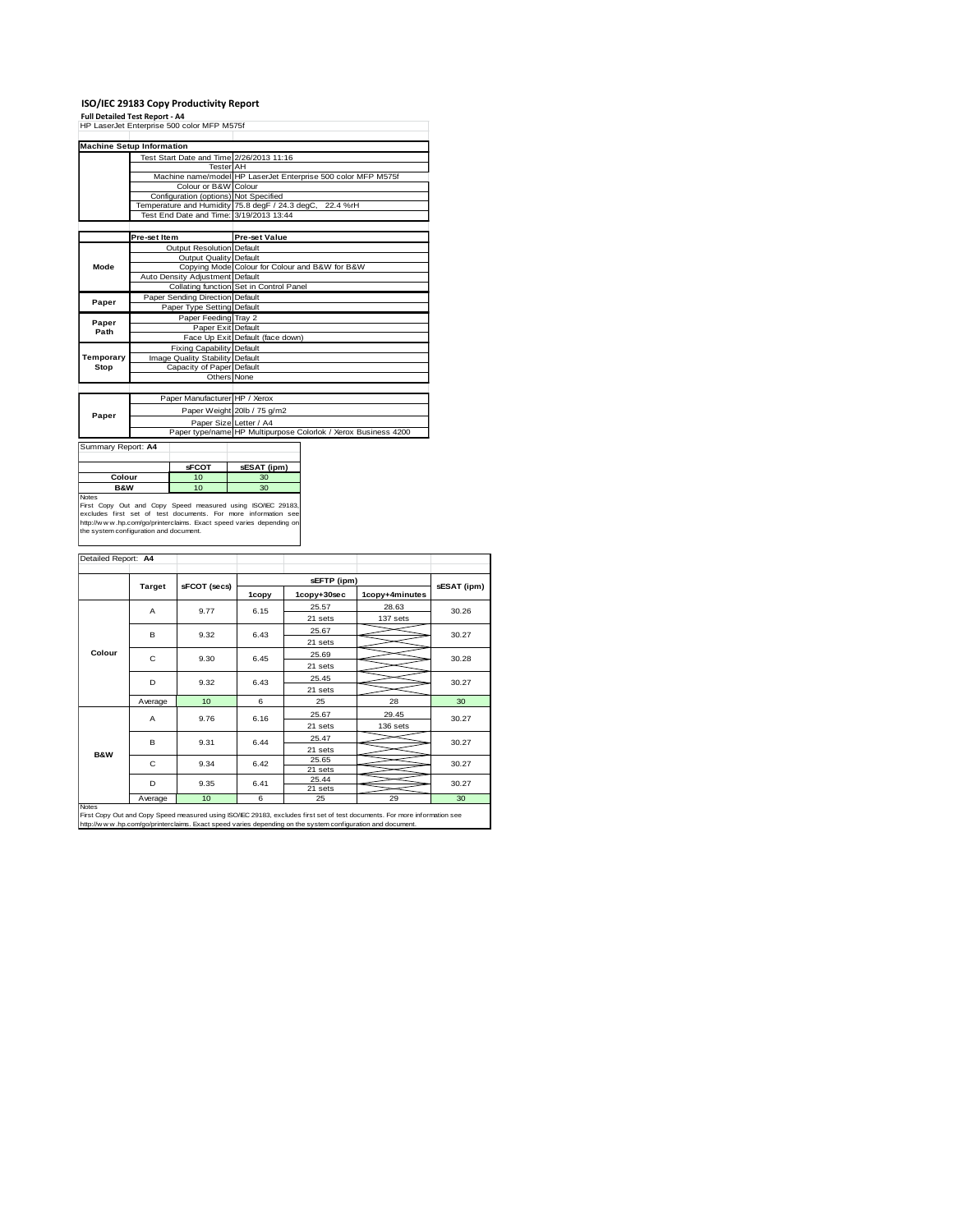**ISO/IEC 29183 Copy Productivity Report Full Detailed Test Report - A4** HP LaserJet Enterprise 500 color MFP M575f

|           | <b>Machine Setup Information</b>         |                                                                |
|-----------|------------------------------------------|----------------------------------------------------------------|
|           | Test Start Date and Time 2/26/2013 11:16 |                                                                |
|           | <b>Tester AH</b>                         |                                                                |
|           |                                          | Machine name/model HP LaserJet Enterprise 500 color MFP M575f  |
|           | Colour or B&W Colour                     |                                                                |
|           | Configuration (options) Not Specified    |                                                                |
|           |                                          | Temperature and Humidity 75.8 degF / 24.3 degC, 22.4 %rH       |
|           | Test End Date and Time: 3/19/2013 13:44  |                                                                |
|           |                                          |                                                                |
|           | Pre-set Item                             | <b>Pre-set Value</b>                                           |
|           | Output Resolution Default                |                                                                |
|           | Output Quality Default                   |                                                                |
| Mode      |                                          | Copying Mode Colour for Colour and B&W for B&W                 |
|           | Auto Density Adjustment Default          |                                                                |
|           |                                          | Collating function Set in Control Panel                        |
| Paper     | Paper Sending Direction Default          |                                                                |
|           | Paper Type Setting Default               |                                                                |
| Paper     | Paper Feeding Tray 2                     |                                                                |
| Path      | Paper Exit Default                       |                                                                |
|           |                                          | Face Up Exit Default (face down)                               |
|           | <b>Fixing Capability Default</b>         |                                                                |
| Temporary | Image Quality Stability Default          |                                                                |
| Stop      | Capacity of Paper Default                |                                                                |
|           | Others None                              |                                                                |
|           |                                          |                                                                |
|           | Paper Manufacturer HP / Xerox            |                                                                |
| Paper     |                                          | Paper Weight 20lb / 75 g/m2                                    |
|           | Paper Size Letter / A4                   |                                                                |
|           |                                          | Paper type/name HP Multipurpose Colorlok / Xerox Business 4200 |

Summary Report: **A4**

|                                     | <b>sFCOT</b>                                                                                                                     | sESAT (ipm)         |
|-------------------------------------|----------------------------------------------------------------------------------------------------------------------------------|---------------------|
| Colour                              | 10                                                                                                                               | 30                  |
| <b>B&amp;W</b>                      | 10                                                                                                                               | 30                  |
| $\sim$<br>$\sim$ .<br>$\sim$ $\sim$ | $\sim$ $\sim$<br>the contract of the contract of the contract of the contract of the contract of the contract of the contract of | <b>100.000 0016</b> |

**B&W**<br>
First Copy Out and Copy Speed measured using ISO/IEC 29183,<br>
excludes first set of test documents. For more information see<br>
the y/www.hp.com/gop/princretaims. Exact speed varies depending on<br>
the system configurati

|                | <b>Target</b> | sFCOT (secs) |       | sESAT (ipm)      |                |       |  |
|----------------|---------------|--------------|-------|------------------|----------------|-------|--|
|                |               |              | 1copy | 1copy+30sec      | 1copy+4minutes |       |  |
|                | A             | 9.77         | 6.15  | 25.57            | 28.63          | 30.26 |  |
|                |               |              |       | 21 sets          | 137 sets       |       |  |
|                | B             | 9.32         | 6.43  | 25.67            |                | 30.27 |  |
|                |               |              |       | 21 sets          |                |       |  |
| Colour         | C             | 9.30         | 6.45  | 25.69            |                | 30.28 |  |
|                |               |              |       | 21 sets          |                |       |  |
|                | D             | 9.32         | 6.43  | 25.45            |                | 30.27 |  |
|                |               |              |       | 21 sets          |                |       |  |
|                | Average       | 10           | 6     | 25               | 28             | 30    |  |
|                | A             | 9.76         | 6.16  | 25.67            | 29.45          | 30.27 |  |
|                |               |              |       | 21 sets          | 136 sets       |       |  |
|                | B             | 9.31         | 6.44  | 25.47            |                | 30.27 |  |
| <b>B&amp;W</b> |               |              |       | 21 sets          |                |       |  |
|                | C.            | 9.34         | 6.42  | 25.65            |                | 30.27 |  |
|                |               |              |       | 21 sets<br>25.44 |                |       |  |
|                | D             | 9.35         | 6.41  | 21 sets          |                | 30.27 |  |
|                | Average       | 10           | 6     | 25               | 29             | 30    |  |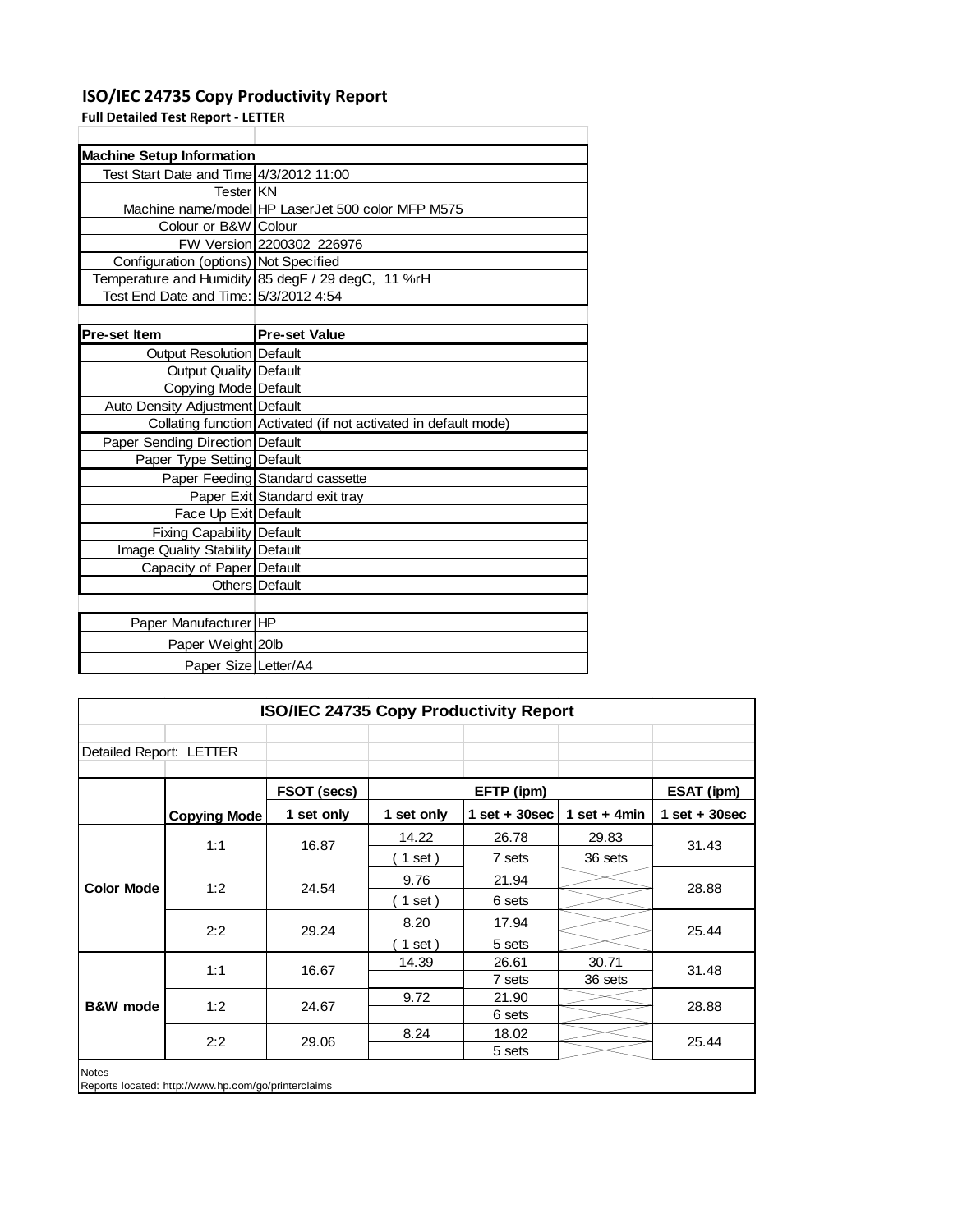## **ISO/IEC 24735 Copy Productivity Report**

**Full Detailed Test Report ‐ LETTER**

| <b>Machine Setup Information</b>        |                                                                 |
|-----------------------------------------|-----------------------------------------------------------------|
| Test Start Date and Time 4/3/2012 11:00 |                                                                 |
| TesterIKN                               |                                                                 |
|                                         | Machine name/model HP LaserJet 500 color MFP M575               |
| Colour or B&W Colour                    |                                                                 |
|                                         | FW Version 2200302_226976                                       |
| Configuration (options) Not Specified   |                                                                 |
|                                         | Temperature and Humidity 85 degF / 29 degC, 11 %rH              |
| Test End Date and Time: 5/3/2012 4:54   |                                                                 |
|                                         |                                                                 |
| Pre-set Item                            | <b>Pre-set Value</b>                                            |
| Output Resolution   Default             |                                                                 |
| Output Quality   Default                |                                                                 |
| Copying Mode Default                    |                                                                 |
| Auto Density Adjustment Default         |                                                                 |
|                                         | Collating function Activated (if not activated in default mode) |
| Paper Sending Direction Default         |                                                                 |
| Paper Type Setting Default              |                                                                 |
|                                         | Paper Feeding Standard cassette                                 |
|                                         | Paper Exit Standard exit tray                                   |
| Face Up Exit Default                    |                                                                 |
| Fixing Capability Default               |                                                                 |
| <b>Image Quality Stability Default</b>  |                                                                 |
| Capacity of Paper Default               |                                                                 |
|                                         | Others Default                                                  |
|                                         |                                                                 |
| Paper Manufacturer HP                   |                                                                 |
| Paper Weight 20lb                       |                                                                 |
| Paper Size Letter/A4                    |                                                                 |

| ISO/IEC 24735 Copy Productivity Report                              |                     |             |            |                  |                |                   |
|---------------------------------------------------------------------|---------------------|-------------|------------|------------------|----------------|-------------------|
|                                                                     |                     |             |            |                  |                |                   |
| Detailed Report: LETTER                                             |                     |             |            |                  |                |                   |
|                                                                     |                     | FSOT (secs) | EFTP (ipm) |                  |                | <b>ESAT (ipm)</b> |
|                                                                     | <b>Copying Mode</b> | 1 set only  | 1 set only | 1 set + $30$ sec | 1 set $+$ 4min | $1$ set + 30sec   |
|                                                                     | 1:1                 | 16.87       | 14.22      | 26.78            | 29.83          | 31.43             |
|                                                                     |                     |             | 1 set)     | 7 sets           | 36 sets        |                   |
| <b>Color Mode</b>                                                   | 1:2                 | 24.54       | 9.76       | 21.94            |                | 28.88             |
|                                                                     |                     |             | $1$ set)   | 6 sets           |                |                   |
|                                                                     | 2:2                 | 29.24       | 8.20       | 17.94            |                | 25.44             |
|                                                                     |                     |             | 1 set)     | 5 sets           |                |                   |
| <b>B&amp;W</b> mode                                                 | 1:1                 | 16.67       | 14.39      | 26.61            | 30.71          | 31.48             |
|                                                                     |                     |             |            | 7 sets           | 36 sets        |                   |
|                                                                     | 1:2                 | 24.67       | 9.72       | 21.90            |                | 28.88             |
|                                                                     |                     |             |            | 6 sets           |                |                   |
|                                                                     | 2:2                 | 29.06       | 8.24       | 18.02            |                | 25.44             |
|                                                                     |                     |             |            | 5 sets           |                |                   |
| <b>Notes</b><br>Reports located: http://www.hp.com/go/printerclaims |                     |             |            |                  |                |                   |